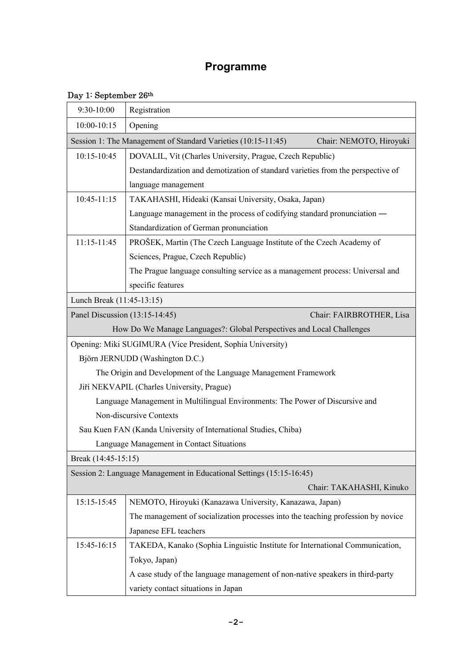## **Programme**

## Day 1: September 26<sup>th</sup>

| 9:30-10:00                                                                               | Registration                                                                     |  |
|------------------------------------------------------------------------------------------|----------------------------------------------------------------------------------|--|
| 10:00-10:15                                                                              | Opening                                                                          |  |
| Session 1: The Management of Standard Varieties (10:15-11:45)<br>Chair: NEMOTO, Hiroyuki |                                                                                  |  |
| 10:15-10:45                                                                              | DOVALIL, Vít (Charles University, Prague, Czech Republic)                        |  |
|                                                                                          | Destandardization and demotization of standard varieties from the perspective of |  |
|                                                                                          | language management                                                              |  |
| $10:45-11:15$                                                                            | TAKAHASHI, Hideaki (Kansai University, Osaka, Japan)                             |  |
|                                                                                          | Language management in the process of codifying standard pronunciation —         |  |
|                                                                                          | Standardization of German pronunciation                                          |  |
| 11:15-11:45                                                                              | PROŠEK, Martin (The Czech Language Institute of the Czech Academy of             |  |
|                                                                                          | Sciences, Prague, Czech Republic)                                                |  |
|                                                                                          | The Prague language consulting service as a management process: Universal and    |  |
|                                                                                          | specific features                                                                |  |
| Lunch Break (11:45-13:15)                                                                |                                                                                  |  |
| Panel Discussion (13:15-14:45)<br>Chair: FAIRBROTHER, Lisa                               |                                                                                  |  |
|                                                                                          | How Do We Manage Languages?: Global Perspectives and Local Challenges            |  |
|                                                                                          | Opening: Miki SUGIMURA (Vice President, Sophia University)                       |  |
|                                                                                          | Björn JERNUDD (Washington D.C.)                                                  |  |
| The Origin and Development of the Language Management Framework                          |                                                                                  |  |
| Jiří NEKVAPIL (Charles University, Prague)                                               |                                                                                  |  |
|                                                                                          | Language Management in Multilingual Environments: The Power of Discursive and    |  |
| Non-discursive Contexts                                                                  |                                                                                  |  |
|                                                                                          | Sau Kuen FAN (Kanda University of International Studies, Chiba)                  |  |
|                                                                                          | Language Management in Contact Situations                                        |  |
| Break (14:45-15:15)                                                                      |                                                                                  |  |
|                                                                                          | Session 2: Language Management in Educational Settings (15:15-16:45)             |  |
|                                                                                          | Chair: TAKAHASHI, Kinuko                                                         |  |
| 15:15-15:45                                                                              | NEMOTO, Hiroyuki (Kanazawa University, Kanazawa, Japan)                          |  |
|                                                                                          | The management of socialization processes into the teaching profession by novice |  |
|                                                                                          | Japanese EFL teachers                                                            |  |
| 15:45-16:15                                                                              | TAKEDA, Kanako (Sophia Linguistic Institute for International Communication,     |  |
|                                                                                          | Tokyo, Japan)                                                                    |  |
|                                                                                          | A case study of the language management of non-native speakers in third-party    |  |
|                                                                                          | variety contact situations in Japan                                              |  |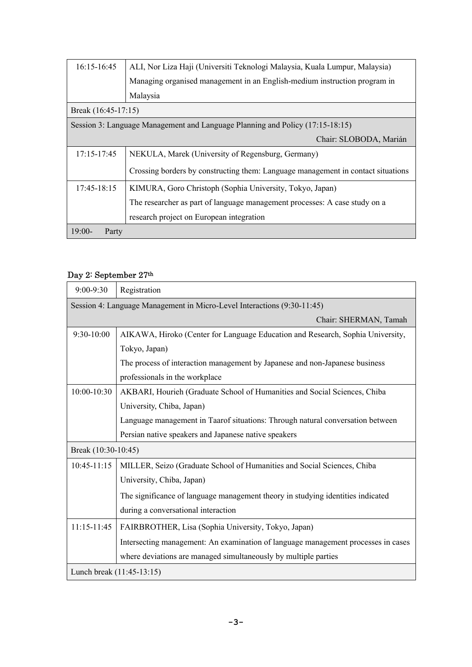| 16:15-16:45                                                                   | ALI, Nor Liza Haji (Universiti Teknologi Malaysia, Kuala Lumpur, Malaysia)       |  |
|-------------------------------------------------------------------------------|----------------------------------------------------------------------------------|--|
|                                                                               | Managing organised management in an English-medium instruction program in        |  |
|                                                                               | Malaysia                                                                         |  |
| Break (16:45-17:15)                                                           |                                                                                  |  |
| Session 3: Language Management and Language Planning and Policy (17:15-18:15) |                                                                                  |  |
|                                                                               | Chair: SLOBODA, Marián                                                           |  |
| 17:15-17:45                                                                   | NEKULA, Marek (University of Regensburg, Germany)                                |  |
|                                                                               | Crossing borders by constructing them: Language management in contact situations |  |
| $17:45-18:15$                                                                 | KIMURA, Goro Christoph (Sophia University, Tokyo, Japan)                         |  |
|                                                                               | The researcher as part of language management processes: A case study on a       |  |
|                                                                               | research project on European integration                                         |  |
| $19:00-$<br>Party                                                             |                                                                                  |  |

## Day 2: September 27th

| 9:00-9:30                                                               | Registration                                                                      |  |
|-------------------------------------------------------------------------|-----------------------------------------------------------------------------------|--|
| Session 4: Language Management in Micro-Level Interactions (9:30-11:45) |                                                                                   |  |
|                                                                         | Chair: SHERMAN, Tamah                                                             |  |
| 9:30-10:00                                                              | AIKAWA, Hiroko (Center for Language Education and Research, Sophia University,    |  |
|                                                                         | Tokyo, Japan)                                                                     |  |
|                                                                         | The process of interaction management by Japanese and non-Japanese business       |  |
|                                                                         | professionals in the workplace                                                    |  |
| 10:00-10:30                                                             | AKBARI, Hourieh (Graduate School of Humanities and Social Sciences, Chiba         |  |
|                                                                         | University, Chiba, Japan)                                                         |  |
|                                                                         | Language management in Taarof situations: Through natural conversation between    |  |
|                                                                         | Persian native speakers and Japanese native speakers                              |  |
| Break (10:30-10:45)                                                     |                                                                                   |  |
| $10:45 - 11:15$                                                         | MILLER, Seizo (Graduate School of Humanities and Social Sciences, Chiba           |  |
|                                                                         | University, Chiba, Japan)                                                         |  |
|                                                                         | The significance of language management theory in studying identities indicated   |  |
|                                                                         | during a conversational interaction                                               |  |
| $11:15-11:45$                                                           | FAIRBROTHER, Lisa (Sophia University, Tokyo, Japan)                               |  |
|                                                                         | Intersecting management: An examination of language management processes in cases |  |
|                                                                         | where deviations are managed simultaneously by multiple parties                   |  |
| Lunch break (11:45-13:15)                                               |                                                                                   |  |